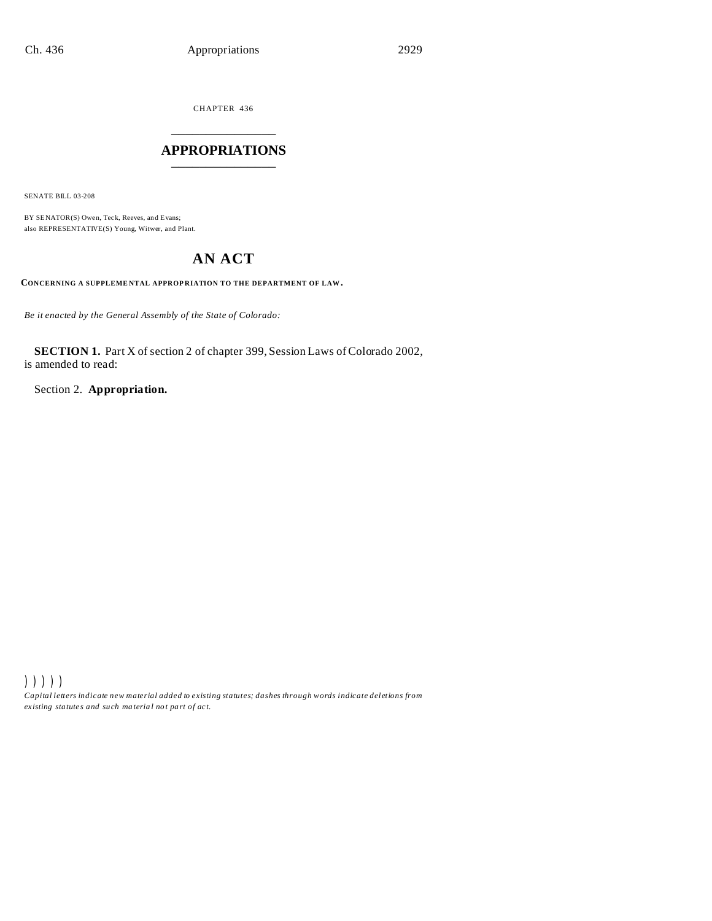CHAPTER 436 \_\_\_\_\_\_\_\_\_\_\_\_\_\_\_

# **APPROPRIATIONS** \_\_\_\_\_\_\_\_\_\_\_\_\_\_\_

SENATE BILL 03-208

BY SENATOR(S) Owen, Teck, Reeves, and Evans; also REPRESENTATIVE(S) Young, Witwer, and Plant.

# **AN ACT**

**CONCERNING A SUPPLEME NTAL APPROP RIATION TO THE DEPARTMENT OF LAW.**

*Be it enacted by the General Assembly of the State of Colorado:*

**SECTION 1.** Part X of section 2 of chapter 399, Session Laws of Colorado 2002, is amended to read:

Section 2. **Appropriation.**

))))) *Capital letters indicate new material added to existing statutes; dashes through words indicate deletions from ex isting statute s and such ma teria l no t pa rt of ac t.*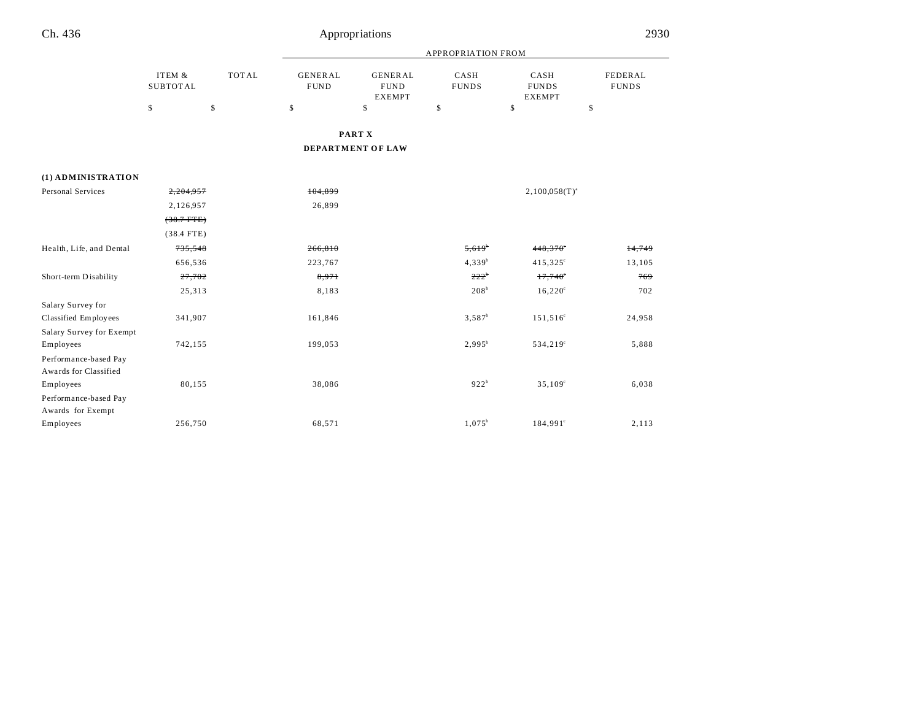|                                       |                           |              | <b>APPROPRIATION FROM</b>     |                                                |                      |                                       |                         |  |
|---------------------------------------|---------------------------|--------------|-------------------------------|------------------------------------------------|----------------------|---------------------------------------|-------------------------|--|
|                                       | ITEM &<br><b>SUBTOTAL</b> | <b>TOTAL</b> | <b>GENERAL</b><br><b>FUND</b> | <b>GENERAL</b><br><b>FUND</b><br><b>EXEMPT</b> | CASH<br><b>FUNDS</b> | CASH<br><b>FUNDS</b><br><b>EXEMPT</b> | FEDERAL<br><b>FUNDS</b> |  |
|                                       | \$                        | \$           | \$                            | \$                                             | $\mathbb S$          | $\mathbf S$                           | \$                      |  |
|                                       |                           |              |                               | PART X                                         |                      |                                       |                         |  |
|                                       |                           |              |                               | DEPARTMENT OF LAW                              |                      |                                       |                         |  |
| (1) ADMINISTRATION                    |                           |              |                               |                                                |                      |                                       |                         |  |
| <b>Personal Services</b>              | 2,204,957                 |              | 104,899                       |                                                |                      | $2,100,058(T)^{a}$                    |                         |  |
|                                       | 2,126,957                 |              | 26,899                        |                                                |                      |                                       |                         |  |
|                                       | $(38.7$ FTE)              |              |                               |                                                |                      |                                       |                         |  |
|                                       | $(38.4$ FTE)              |              |                               |                                                |                      |                                       |                         |  |
| Health, Life, and Dental              | 735,548                   |              | 266,810                       |                                                | $5,619^b$            | $448,370$ °                           | 14,749                  |  |
|                                       | 656,536                   |              | 223,767                       |                                                | $4,339^{b}$          | $415,325^{\circ}$                     | 13,105                  |  |
| Short-term Disability                 | 27,702                    |              | 8,971                         |                                                | $222^b$              | $17,740^\circ$                        | 769                     |  |
|                                       | 25,313                    |              | 8,183                         |                                                | 208 <sup>b</sup>     | $16,220^{\circ}$                      | 702                     |  |
| Salary Survey for                     |                           |              |                               |                                                |                      |                                       |                         |  |
| Classified Employees                  | 341,907                   |              | 161,846                       |                                                | $3,587^b$            | $151,516^{\circ}$                     | 24,958                  |  |
| Salary Survey for Exempt<br>Employees | 742,155                   |              | 199,053                       |                                                | $2,995^b$            | $534,219^{\circ}$                     | 5,888                   |  |
| Performance-based Pay                 |                           |              |                               |                                                |                      |                                       |                         |  |
| Awards for Classified                 |                           |              |                               |                                                |                      |                                       |                         |  |
| Employees                             | 80,155                    |              | 38,086                        |                                                | 922 <sup>b</sup>     | 35,109°                               | 6,038                   |  |
| Performance-based Pay                 |                           |              |                               |                                                |                      |                                       |                         |  |
| Awards for Exempt                     |                           |              |                               |                                                |                      |                                       |                         |  |
| Employees                             | 256,750                   |              | 68,571                        |                                                | $1,075^b$            | 184,991°                              | 2,113                   |  |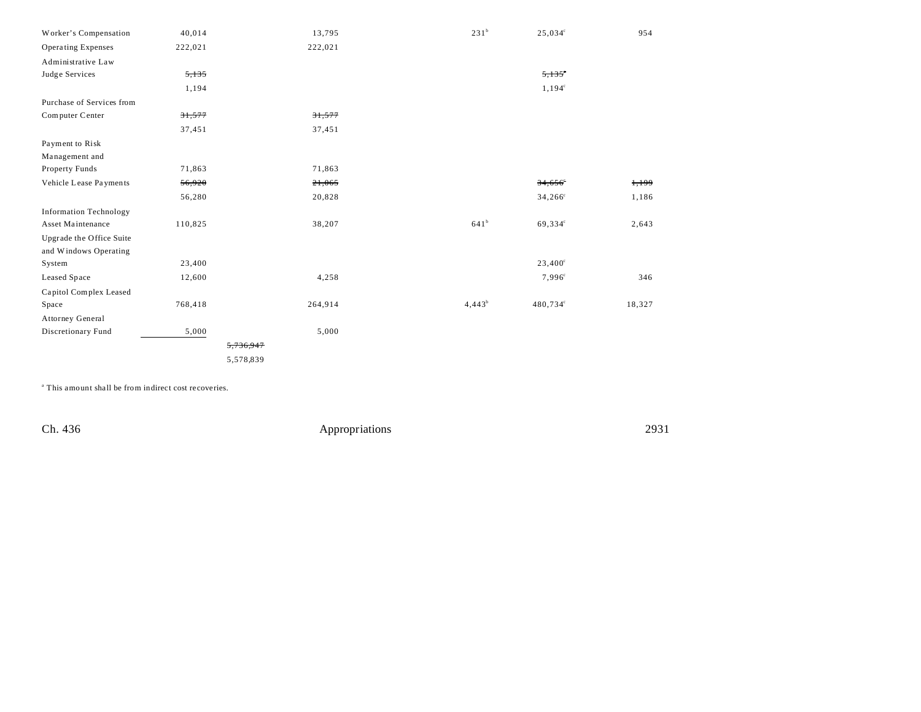| Worker's Compensation         | 40,014  | 13,795    | 231 <sup>b</sup> | $25,034^{\circ}$      | 954    |
|-------------------------------|---------|-----------|------------------|-----------------------|--------|
| Operating Expenses            | 222,021 | 222,021   |                  |                       |        |
| Administrative Law            |         |           |                  |                       |        |
| Judge Services                | 5,135   |           |                  | $5,135$ °             |        |
|                               | 1,194   |           |                  | $1,194^c$             |        |
| Purchase of Services from     |         |           |                  |                       |        |
| Computer Center               | 31,577  | 31,577    |                  |                       |        |
|                               | 37,451  | 37,451    |                  |                       |        |
| Payment to Risk               |         |           |                  |                       |        |
| Management and                |         |           |                  |                       |        |
| Property Funds                | 71,863  | 71,863    |                  |                       |        |
| Vehicle Lease Payments        | 56,920  | 21,065    |                  | $34,656$ <sup>e</sup> | 1,199  |
|                               | 56,280  | 20,828    |                  | $34,266^{\circ}$      | 1,186  |
| <b>Information Technology</b> |         |           |                  |                       |        |
| Asset Maintenance             | 110,825 | 38,207    | 641 <sup>b</sup> | 69,334°               | 2,643  |
| Upgrade the Office Suite      |         |           |                  |                       |        |
| and Windows Operating         |         |           |                  |                       |        |
| System                        | 23,400  |           |                  | $23,400^{\circ}$      |        |
| Leased Space                  | 12,600  | 4,258     |                  | $7,996^{\circ}$       | 346    |
| Capitol Complex Leased        |         |           |                  |                       |        |
| Space                         | 768,418 | 264,914   | $4,443^b$        | 480,734°              | 18,327 |
| Attorney General              |         |           |                  |                       |        |
| Discretionary Fund            | 5,000   | 5,000     |                  |                       |        |
|                               |         | 5,736,947 |                  |                       |        |
|                               |         | 5,578,839 |                  |                       |        |

a This amount shall be from indirect cost recoveries.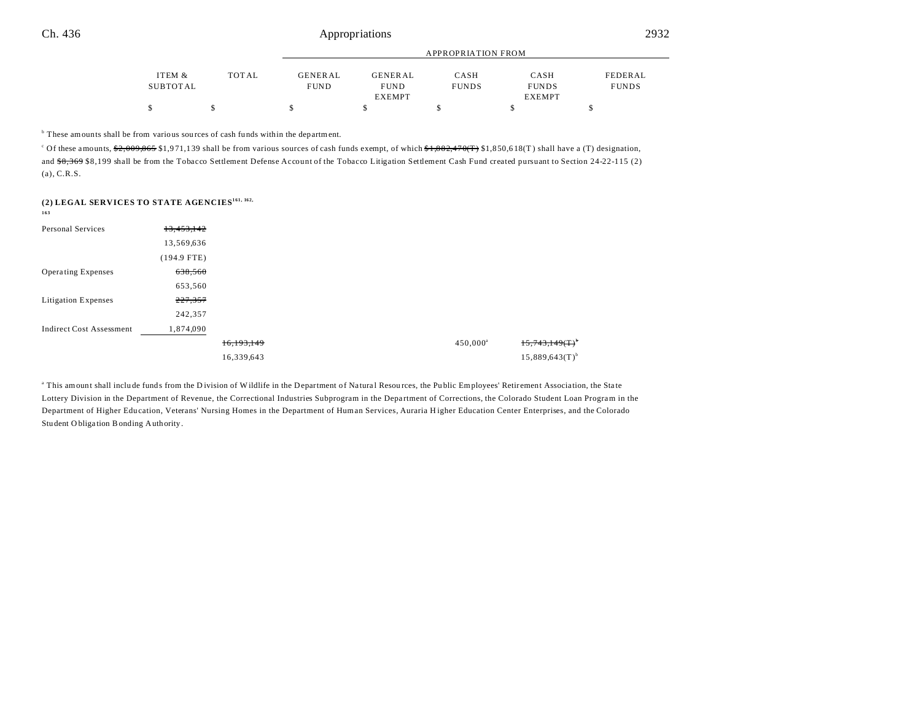|          |              | APPROPRIATION FROM |                |              |               |              |  |  |
|----------|--------------|--------------------|----------------|--------------|---------------|--------------|--|--|
| ITEM &   | <b>TOTAL</b> | <b>GENERAL</b>     | <b>GENERAL</b> | CASH         | CASH          | FEDERAL      |  |  |
| SUBTOTAL |              | <b>FUND</b>        | <b>FUND</b>    | <b>FUNDS</b> | <b>FUNDS</b>  | <b>FUNDS</b> |  |  |
|          |              |                    | <b>EXEMPT</b>  |              | <b>EXEMPT</b> |              |  |  |
|          |              |                    |                |              |               |              |  |  |

<sup>b</sup> These amounts shall be from various sources of cash funds within the department.

<sup>c</sup> Of these amounts,  $\frac{62,009,865}{31,971,139}$  shall be from various sources of cash funds exempt, of which  $\frac{61,882,470(T)}{1,882,470(T)}$  \$1,850,618(T) shall have a (T) designation, and \$8,369 \$8,199 shall be from the Tobacco Settlement Defense Account of the Tobacco Litigation Settlement Cash Fund created pursuant to Section 24-22-115 (2) (a), C.R.S.

## **(2) LEGAL SERVICES TO STATE AGENCIES161, 162,**

| I<br>I |
|--------|
|--------|

| Personal Services               | 13,453,142    |            |             |                               |
|---------------------------------|---------------|------------|-------------|-------------------------------|
|                                 | 13,569,636    |            |             |                               |
|                                 | $(194.9$ FTE) |            |             |                               |
| <b>Operating Expenses</b>       | 638,560       |            |             |                               |
|                                 | 653,560       |            |             |                               |
| <b>Litigation Expenses</b>      | 227,357       |            |             |                               |
|                                 | 242,357       |            |             |                               |
| <b>Indirect Cost Assessment</b> | 1,874,090     |            |             |                               |
|                                 |               | 16,193,149 | $450,000^a$ | $15,743,149$ (T) <sup>b</sup> |
|                                 |               | 16,339,643 |             | $15,889,643(T)$ <sup>b</sup>  |

<sup>a</sup> This amount shall include funds from the Division of Wildlife in the Department of Natural Resources, the Public Employees' Retirement Association, the State Lottery Division in the Department of Revenue, the Correctional Industries Subprogram in the Department of Corrections, the Colorado Student Loan Program in the Department of Higher Edu cation, Veterans' Nursing Homes in the Department of Human Services, Auraria H igher Education Center Enterprises, and the Colorado Stu dent O bliga tion Bonding Authority.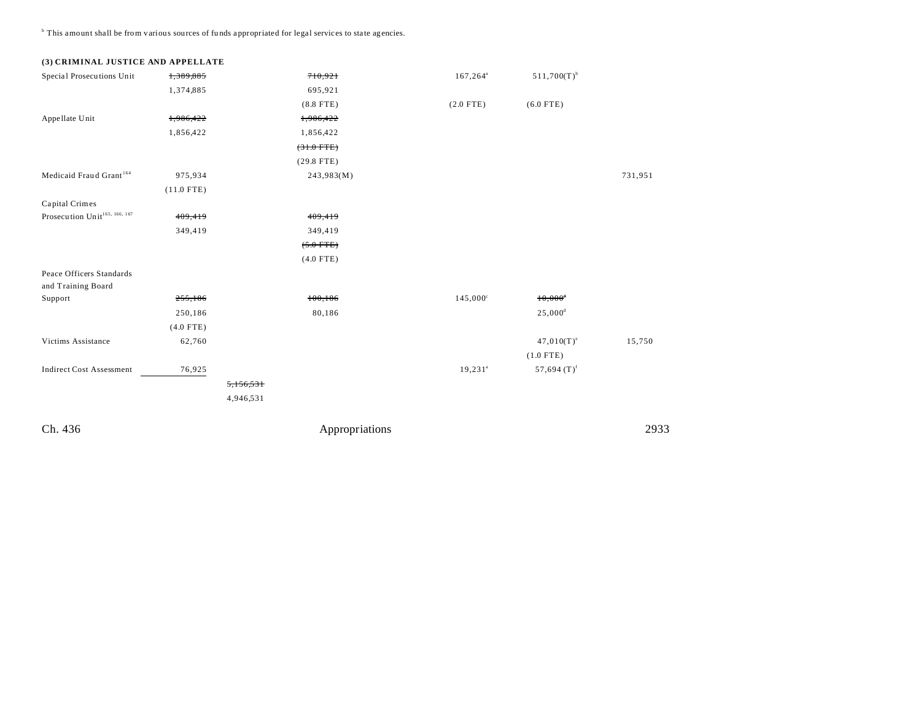<sup>b</sup> This amount shall be from various sources of funds appropriated for legal services to state agencies.

# **(3) CRIMINAL JUSTICE AND APPELLATE**

| Special Prosecutions Unit                      | 1,389,885    |           | 710,921      | $167, 264^{\circ}$ | $511,700(T)^{b}$          |         |
|------------------------------------------------|--------------|-----------|--------------|--------------------|---------------------------|---------|
|                                                | 1,374,885    |           | 695,921      |                    |                           |         |
|                                                |              |           | $(8.8$ FTE)  | $(2.0$ FTE)        | $(6.0$ FTE)               |         |
| Appellate Unit                                 | 1,986,422    |           | 1,986,422    |                    |                           |         |
|                                                | 1,856,422    |           | 1,856,422    |                    |                           |         |
|                                                |              |           | $(31.0$ FTE) |                    |                           |         |
|                                                |              |           | $(29.8$ FTE) |                    |                           |         |
| Medicaid Fraud Grant <sup>164</sup>            | 975,934      |           | 243,983(M)   |                    |                           | 731,951 |
|                                                | $(11.0$ FTE) |           |              |                    |                           |         |
| Capital Crimes                                 |              |           |              |                    |                           |         |
| Prosecution Unit <sup>165, 166, 167</sup>      | 409,419      |           | 409,419      |                    |                           |         |
|                                                | 349,419      |           | 349,419      |                    |                           |         |
|                                                |              |           | $(5.0$ FTE)  |                    |                           |         |
|                                                |              |           | $(4.0$ FTE)  |                    |                           |         |
| Peace Officers Standards<br>and Training Board |              |           |              |                    |                           |         |
| Support                                        | 255,186      |           | 100,186      | $145,000^{\circ}$  | $10,000$ <sup>d</sup>     |         |
|                                                | 250,186      |           | 80,186       |                    | $25,000$ <sup>d</sup>     |         |
|                                                | $(4.0$ FTE)  |           |              |                    |                           |         |
| Victims Assistance                             | 62,760       |           |              |                    | $47,010(T)^e$             | 15,750  |
|                                                |              |           |              |                    | $(1.0$ FTE)               |         |
| <b>Indirect Cost Assessment</b>                | 76,925       |           |              | $19,231^a$         | 57,694 $(T)$ <sup>f</sup> |         |
|                                                |              | 5,156,531 |              |                    |                           |         |
|                                                |              | 4,946,531 |              |                    |                           |         |
|                                                |              |           |              |                    |                           |         |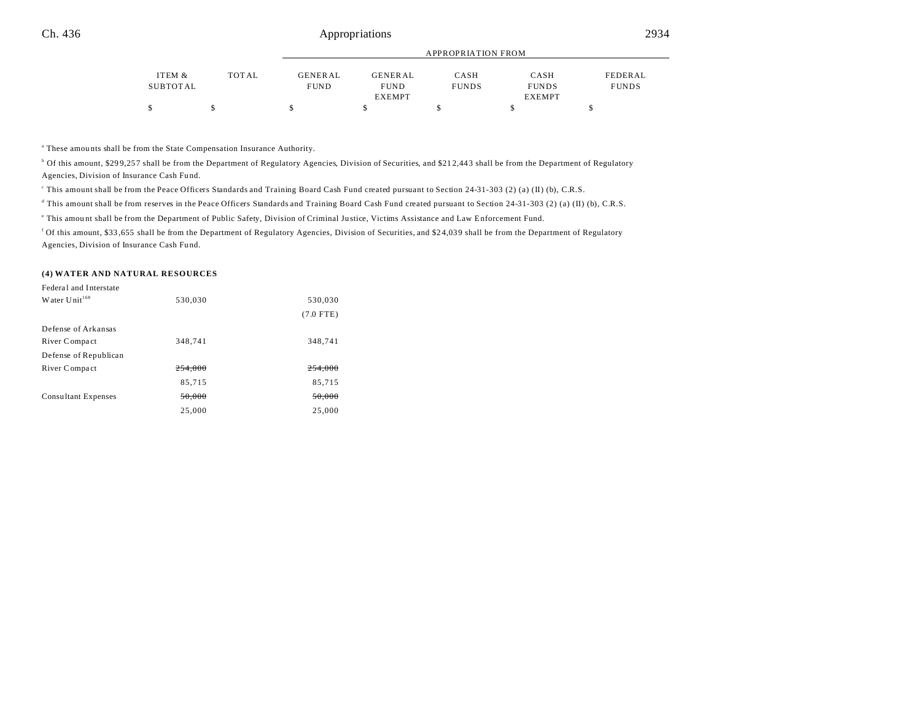|          |              |                | APPROPRIATION FROM |              |               |              |  |  |
|----------|--------------|----------------|--------------------|--------------|---------------|--------------|--|--|
| ITEM &   | <b>TOTAL</b> | <b>GENERAL</b> | <b>GENERAL</b>     | CASH         | CASH          | FEDERAL      |  |  |
| SUBTOTAL |              | <b>FUND</b>    | <b>FUND</b>        | <b>FUNDS</b> | <b>FUNDS</b>  | <b>FUNDS</b> |  |  |
|          |              |                | <b>EXEMPT</b>      |              | <b>EXEMPT</b> |              |  |  |
|          |              |                |                    |              |               |              |  |  |

<sup>a</sup> These amounts shall be from the State Compensation Insurance Authority.

<sup>b</sup> Of this amount, \$299,257 shall be from the Department of Regulatory Agencies, Division of Securities, and \$212,443 shall be from the Department of Regulatory Agencies, Division of Insurance Cash Fund.

This amount shall be from the Peace Officers Standards and Training Board Cash Fund created pursuant to Section 24-31-303 (2) (a) (II) (b), C.R.S.

d This amount shall be from reserves in the Peace Officers Standards and Training Board Cash Fund created pursuant to Section 24-31-303 (2) (a) (II) (b), C.R.S.

e This amou nt shall be from the Department of Public Safety, Division of Criminal Justice, Victims Assistance and Law Enforcement Fund.

<sup>f</sup> Of this amount, \$33,655 shall be from the Department of Regulatory Agencies, Division of Securities, and \$24,039 shall be from the Department of Regulatory Agencies, Division of Insurance Cash Fund.

#### **(4) WATER AND NATURAL RESOURCES**

| Federal and Interstate     |         |             |
|----------------------------|---------|-------------|
| Water $Unit168$            | 530,030 | 530,030     |
|                            |         | $(7.0$ FTE) |
| Defense of Arkansas        |         |             |
| River Compact              | 348,741 | 348,741     |
| Defense of Republican      |         |             |
| River Compact              | 254.000 | 254,000     |
|                            | 85,715  | 85,715      |
| <b>Consultant Expenses</b> | 50.000  | 50.000      |
|                            | 25,000  | 25,000      |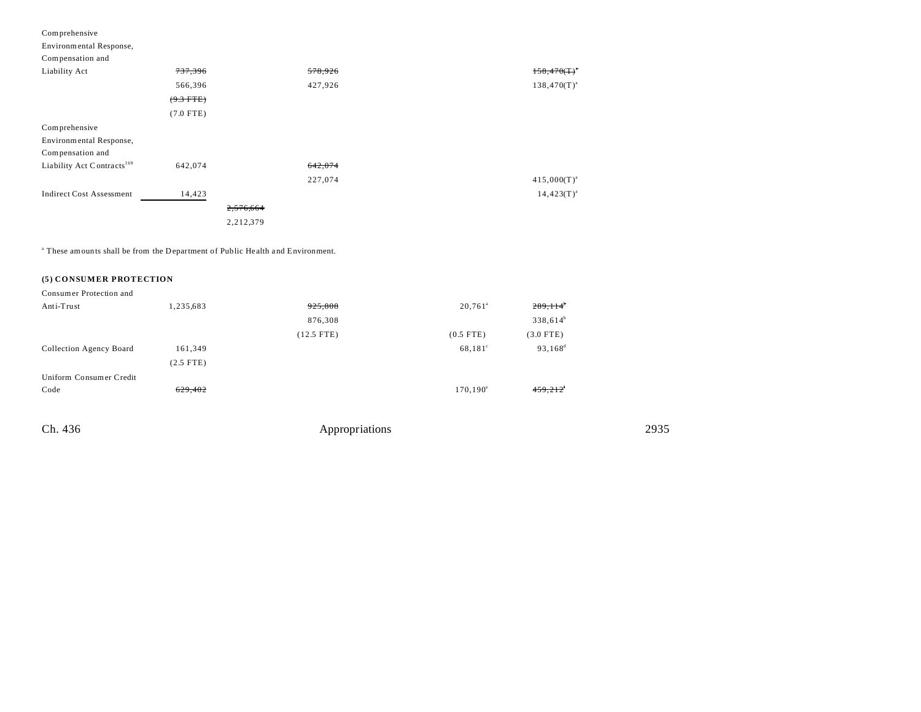| Comprehensive                          |                    |           |         |                  |
|----------------------------------------|--------------------|-----------|---------|------------------|
| Environmental Response,                |                    |           |         |                  |
| Compensation and                       |                    |           |         |                  |
| Liability Act                          | <del>737,396</del> |           | 578,926 | $158,470(T)^{4}$ |
|                                        | 566,396            |           | 427,926 | $138,470(T)^{a}$ |
|                                        | $(9.3$ FTE)        |           |         |                  |
|                                        | $(7.0$ FTE)        |           |         |                  |
| Comprehensive                          |                    |           |         |                  |
| Environmental Response,                |                    |           |         |                  |
| Compensation and                       |                    |           |         |                  |
| Liability Act Contracts <sup>169</sup> | 642,074            |           | 642,074 |                  |
|                                        |                    |           | 227,074 | $415,000(T)^{a}$ |
| <b>Indirect Cost Assessment</b>        | 14,423             |           |         | $14,423(T)^{a}$  |
|                                        |                    | 2,576,664 |         |                  |
|                                        |                    | 2,212,379 |         |                  |

<sup>a</sup> These amounts shall be from the Department of Public Health and Environment.

### **(5) CONSUMER PROTECTION**

| Consumer Protection and |             |              |                    |                        |
|-------------------------|-------------|--------------|--------------------|------------------------|
| Anti-Trust              | 1,235,683   | 925,808      | $20,761^{\circ}$   | $289,114$ <sup>b</sup> |
|                         |             | 876,308      |                    | $338,614^b$            |
|                         |             | $(12.5$ FTE) | $(0.5$ FTE)        | $(3.0$ FTE)            |
| Collection Agency Board | 161,349     |              | $68,181^{\circ}$   | $93,168^d$             |
|                         | $(2.5$ FTE) |              |                    |                        |
| Uniform Consumer Credit |             |              |                    |                        |
| Code                    | 629,402     |              | $170, 190^{\circ}$ | $459,212$ <sup>f</sup> |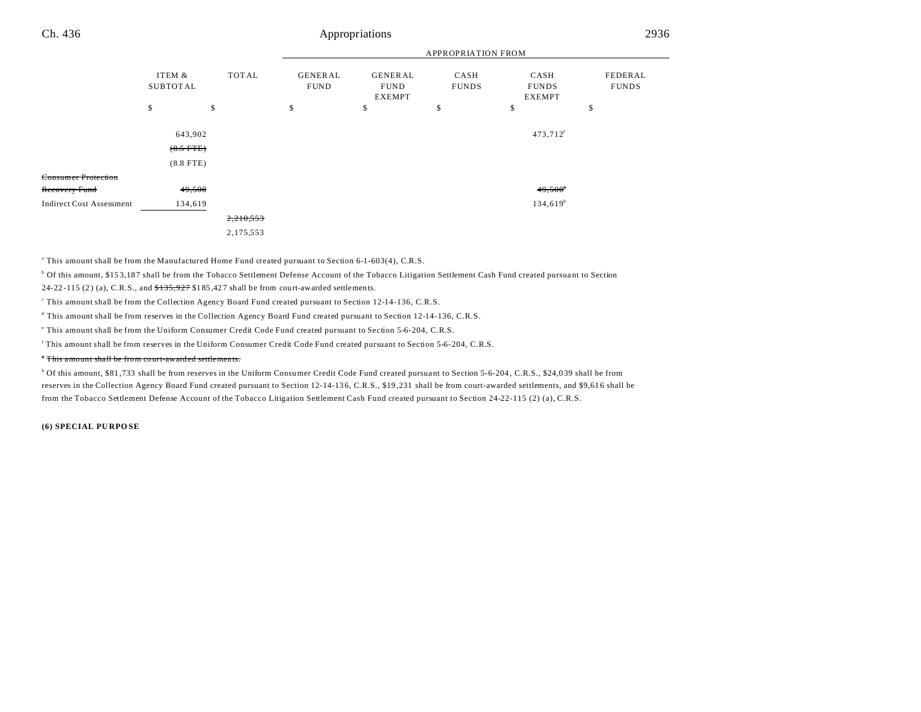|                                 |                                       |           | <b>APPROPRIATION FROM</b> |                                         |                      |                                       |                         |  |
|---------------------------------|---------------------------------------|-----------|---------------------------|-----------------------------------------|----------------------|---------------------------------------|-------------------------|--|
|                                 | ITEM &<br><b>SUBTOTAL</b>             | TOTAL     | GENERAL<br><b>FUND</b>    | <b>GENERAL</b><br><b>FUND</b><br>EXEMPT | CASH<br><b>FUNDS</b> | CASH<br><b>FUNDS</b><br><b>EXEMPT</b> | FEDERAL<br><b>FUNDS</b> |  |
|                                 | \$                                    | \$        | \$                        | \$                                      | \$                   | \$                                    | \$                      |  |
|                                 | 643,902<br>$(8.5$ FTE)<br>$(8.8$ FTE) |           |                           |                                         |                      | 473,712 <sup>f</sup>                  |                         |  |
| Consumer Protection             |                                       |           |                           |                                         |                      |                                       |                         |  |
| <del>Recovery Fund</del>        | 49,500                                |           |                           |                                         |                      | $49,500$ <sup>s</sup>                 |                         |  |
| <b>Indirect Cost Assessment</b> | 134,619                               |           |                           |                                         |                      | 134,619 <sup>h</sup>                  |                         |  |
|                                 |                                       | 2,210,553 |                           |                                         |                      |                                       |                         |  |
|                                 |                                       | 2,175,553 |                           |                                         |                      |                                       |                         |  |
|                                 |                                       |           |                           |                                         |                      |                                       |                         |  |

a This amount shall be from the Manufactured Home Fund created pursuant to Section 6-1-603(4), C.R.S.

<sup>b</sup> Of this amount, \$153,187 shall be from the Tobacco Settlement Defense Account of the Tobacco Litigation Settlement Cash Fund created pursuant to Section 24-22-115 (2) (a), C.R.S., and  $$135,927$  \$185,427 shall be from court-awarded settlements.

This amount shall be from the Collection Agency Board Fund created pursuant to Section 12-14-136, C.R.S.

d This amount shall be from reserves in the Collection Agency Board Fund created pursuant to Section 12-14-136, C.R.S.

e This amount shall be from the Uniform Consumer Credit Code Fund created pursuant to Section 5-6-204, C.R.S.

f This amount shall be from reserves in the Uniform Consumer Credit Code Fund created pursuant to Section 5-6-204, C.R.S.

#### <sup>\*</sup> This amount shall be from court-awarded settlements.

<sup>h</sup> Of this amount, \$81,733 shall be from reserves in the Uniform Consumer Credit Code Fund created pursuant to Section 5-6-204, C.R.S., \$24,039 shall be from reserves in the Collection Agency Board Fund created pursuant to Section 12-14-13 6, C.R.S., \$19 ,231 shall be from court-awarded settlements, and \$9,61 6 shall be from the Tobacco Settlement Defense Account of the Tobacco Litigation Settlement Cash Fund created pursuant to Section 24-22-115 (2) (a), C.R.S.

#### **(6) SPECIAL PU RPO SE**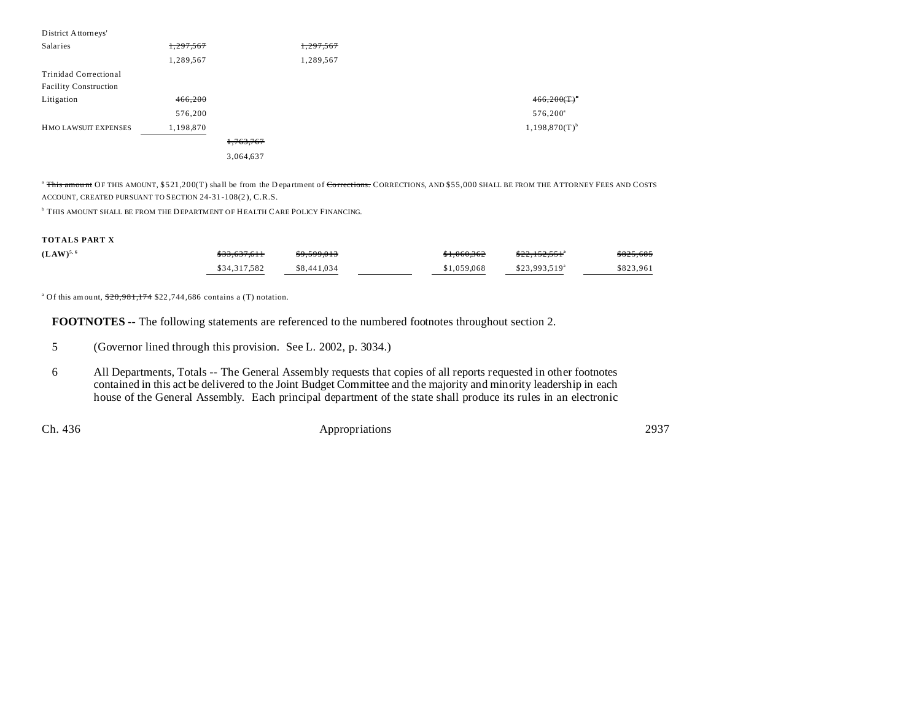| District Attorneys'          |           |           |           |                             |
|------------------------------|-----------|-----------|-----------|-----------------------------|
| Salaries                     | 1,297,567 |           | 1,297,567 |                             |
|                              | 1,289,567 |           | 1,289,567 |                             |
| Trinidad Correctional        |           |           |           |                             |
| <b>Facility Construction</b> |           |           |           |                             |
| Litigation                   | 466,200   |           |           | $466,200(T)^{4}$            |
|                              | 576,200   |           |           | $576,200^{\circ}$           |
| HMO LAWSUIT EXPENSES         | 1,198,870 |           |           | $1,198,870(T)$ <sup>b</sup> |
|                              |           | 1,763,767 |           |                             |
|                              |           | 3,064,637 |           |                             |
|                              |           |           |           |                             |

<sup>a</sup> This amount OF THIS AMOUNT, \$521,200(T) shall be from the D epartment of Corrections. CORRECTIONS, AND \$55,000 SHALL BE FROM THE ATTORNEY FEES AND COSTS ACCOUNT, CREATED PURSUANT TO SECTION 24-31 -108(2 ), C.R.S.

**THIS AMOUNT SHALL BE FROM THE DEPARTMENT OF HEALTH CARE POLICY FINANCING.** 

#### **TOTALS PART X**

| $(LAW)^{5,6}$ | \$33,637,611 | \$9,599,013 | \$1,060,362 | <del>\$22.152.551</del>    | \$825,685 |
|---------------|--------------|-------------|-------------|----------------------------|-----------|
|               | \$34,317.582 | \$8,441,034 | \$1,059,068 | $$23.993.519$ <sup>a</sup> | \$823,961 |

<sup>a</sup> Of this amount,  $\frac{$20,981,174}{$22,744,686}$  contains a (T) notation.

**FOOTNOTES** -- The following statements are referenced to the numbered footnotes throughout section 2.

6 All Departments, Totals -- The General Assembly requests that copies of all reports requested in other footnotes contained in this act be delivered to the Joint Budget Committee and the majority and minority leadership in each house of the General Assembly. Each principal department of the state shall produce its rules in an electronic

<sup>5</sup> (Governor lined through this provision. See L. 2002, p. 3034.)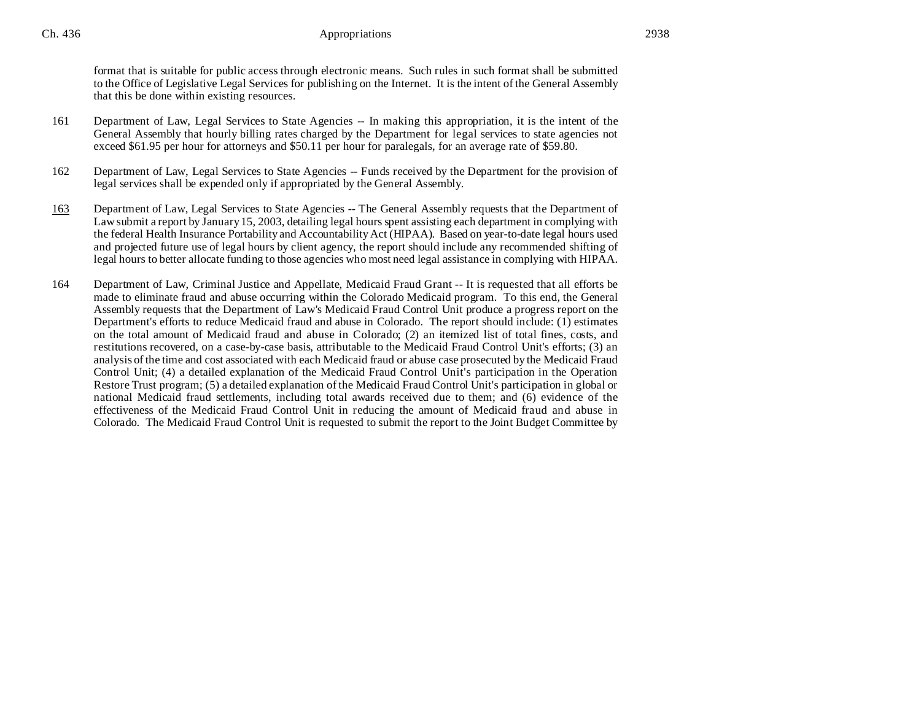format that is suitable for public access through electronic means. Such rules in such format shall be submitted to the Office of Legislative Legal Services for publishing on the Internet. It is the intent of the General Assembly that this be done within existing resources.

- 161 Department of Law, Legal Services to State Agencies -- In making this appropriation, it is the intent of the General Assembly that hourly billing rates charged by the Department for legal services to state agencies not exceed \$61.95 per hour for attorneys and \$50.11 per hour for paralegals, for an average rate of \$59.80.
- 162 Department of Law, Legal Services to State Agencies -- Funds received by the Department for the provision of legal services shall be expended only if appropriated by the General Assembly.
- 163 Department of Law, Legal Services to State Agencies -- The General Assembly requests that the Department of Law submit a report by January 15, 2003, detailing legal hours spent assisting each department in complying with the federal Health Insurance Portability and Accountability Act (HIPAA). Based on year-to-date legal hours used and projected future use of legal hours by client agency, the report should include any recommended shifting of legal hours to better allocate funding to those agencies who most need legal assistance in complying with HIPAA.
- 164 Department of Law, Criminal Justice and Appellate, Medicaid Fraud Grant -- It is requested that all efforts be made to eliminate fraud and abuse occurring within the Colorado Medicaid program. To this end, the General Assembly requests that the Department of Law's Medicaid Fraud Control Unit produce a progress report on the Department's efforts to reduce Medicaid fraud and abuse in Colorado. The report should include: (1) estimates on the total amount of Medicaid fraud and abuse in Colorado; (2) an itemized list of total fines, costs, and restitutions recovered, on a case-by-case basis, attributable to the Medicaid Fraud Control Unit's efforts; (3) an analysis of the time and cost associated with each Medicaid fraud or abuse case prosecuted by the Medicaid Fraud Control Unit; (4) a detailed explanation of the Medicaid Fraud Control Unit's participation in the Operation Restore Trust program; (5) a detailed explanation of the Medicaid Fraud Control Unit's participation in global or national Medicaid fraud settlements, including total awards received due to them; and (6) evidence of the effectiveness of the Medicaid Fraud Control Unit in reducing the amount of Medicaid fraud and abuse in Colorado. The Medicaid Fraud Control Unit is requested to submit the report to the Joint Budget Committee by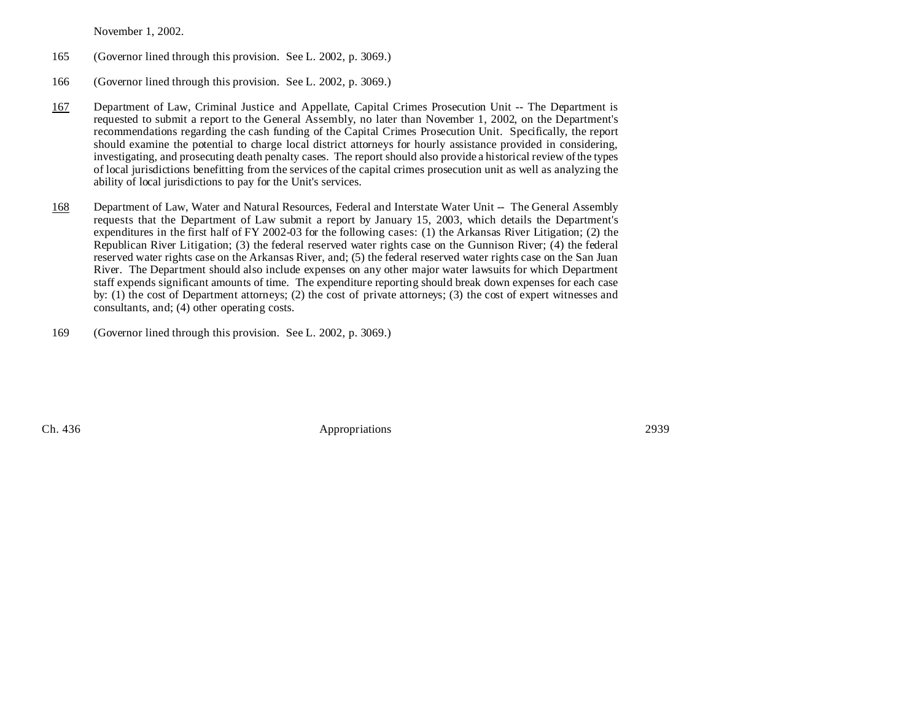November 1, 2002.

- 165 (Governor lined through this provision. See L. 2002, p. 3069.)
- 166 (Governor lined through this provision. See L. 2002, p. 3069.)
- 167 Department of Law, Criminal Justice and Appellate, Capital Crimes Prosecution Unit -- The Department is requested to submit a report to the General Assembly, no later than November 1, 2002, on the Department's recommendations regarding the cash funding of the Capital Crimes Prosecution Unit. Specifically, the report should examine the potential to charge local district attorneys for hourly assistance provided in considering, investigating, and prosecuting death penalty cases. The report should also provide a historical review of the types of local jurisdictions benefitting from the services of the capital crimes prosecution unit as well as analyzing the ability of local jurisdictions to pay for the Unit's services.
- 168 Department of Law, Water and Natural Resources, Federal and Interstate Water Unit -- The General Assembly requests that the Department of Law submit a report by January 15, 2003, which details the Department's expenditures in the first half of FY 2002-03 for the following cases: (1) the Arkansas River Litigation; (2) the Republican River Litigation; (3) the federal reserved water rights case on the Gunnison River; (4) the federal reserved water rights case on the Arkansas River, and; (5) the federal reserved water rights case on the San Juan River. The Department should also include expenses on any other major water lawsuits for which Department staff expends significant amounts of time. The expenditure reporting should break down expenses for each case by: (1) the cost of Department attorneys; (2) the cost of private attorneys; (3) the cost of expert witnesses and consultants, and; (4) other operating costs.
- 169 (Governor lined through this provision. See L. 2002, p. 3069.)